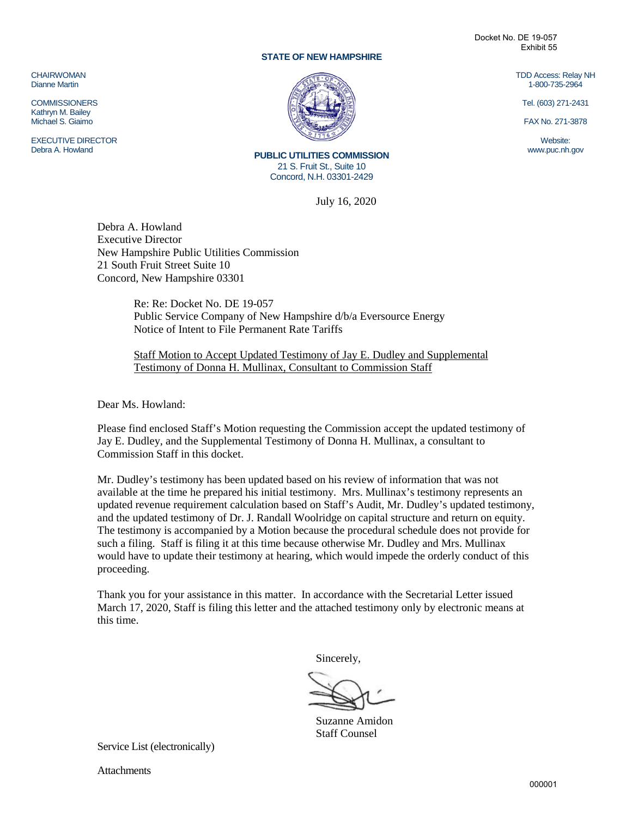#### **STATE OF NEW HAMPSHIRE**

Docket No. DE 19-057 Exhibit 55

> TDD Access: Relay NH 1-800-735-2964

Tel. (603) 271-2431

FAX No. 271-3878

Website: www.puc.nh.gov

**CHAIRWOMAN** Dianne Martin

**COMMISSIONERS** Kathryn M. Bailey Michael S. Giaimo

EXECUTIVE DIRECTOR Debra A. Howland



**PUBLIC UTILITIES COMMISSION** 21 S. Fruit St., Suite 10 Concord, N.H. 03301-2429

July 16, 2020

Debra A. Howland Executive Director New Hampshire Public Utilities Commission 21 South Fruit Street Suite 10 Concord, New Hampshire 03301

> Re: Re: Docket No. DE 19-057 Public Service Company of New Hampshire d/b/a Eversource Energy Notice of Intent to File Permanent Rate Tariffs

Staff Motion to Accept Updated Testimony of Jay E. Dudley and Supplemental Testimony of Donna H. Mullinax, Consultant to Commission Staff

Dear Ms. Howland:

Please find enclosed Staff's Motion requesting the Commission accept the updated testimony of Jay E. Dudley, and the Supplemental Testimony of Donna H. Mullinax, a consultant to Commission Staff in this docket.

Mr. Dudley's testimony has been updated based on his review of information that was not available at the time he prepared his initial testimony. Mrs. Mullinax's testimony represents an updated revenue requirement calculation based on Staff's Audit, Mr. Dudley's updated testimony, and the updated testimony of Dr. J. Randall Woolridge on capital structure and return on equity. The testimony is accompanied by a Motion because the procedural schedule does not provide for such a filing. Staff is filing it at this time because otherwise Mr. Dudley and Mrs. Mullinax would have to update their testimony at hearing, which would impede the orderly conduct of this proceeding.

Thank you for your assistance in this matter. In accordance with the Secretarial Letter issued March 17, 2020, Staff is filing this letter and the attached testimony only by electronic means at this time.

Sincerely,

Suzanne Amidon Staff Counsel

Service List (electronically)

Attachments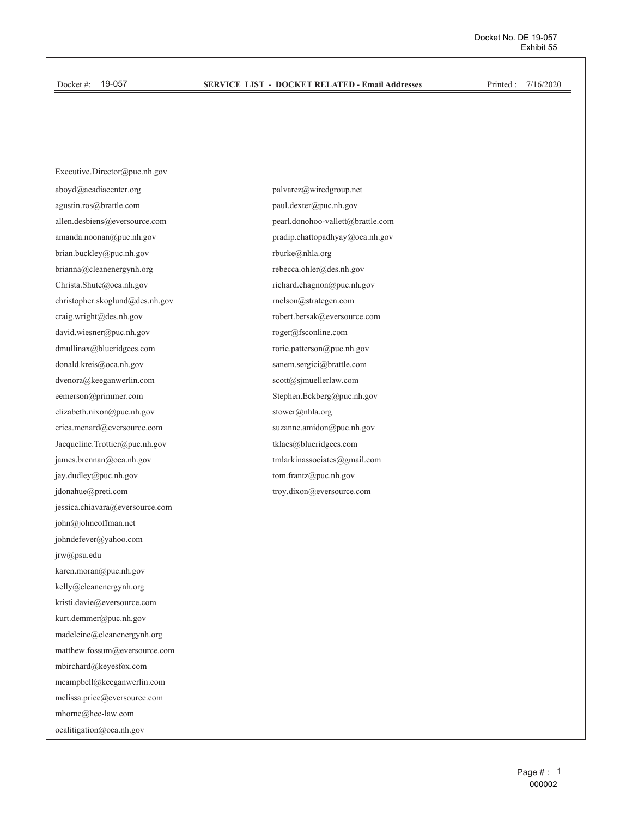#### **SERVICE LIST - DOCKET RELATED - Email Addresses**

Printed: 7/16/2020

Executive.Director@puc.nh.gov aboyd@acadiacenter.org agustin.ros@brattle.com allen.desbiens@eversource.com amanda.noonan@puc.nh.gov brian.buckley@puc.nh.gov brianna@cleanenergynh.org Christa.Shute@oca.nh.gov christopher.skoglund@des.nh.gov craig.wright@des.nh.gov david.wiesner@puc.nh.gov dmullinax@blueridgecs.com donald.kreis@oca.nh.gov dvenora@keeganwerlin.com eemerson@primmer.com elizabeth.nixon@puc.nh.gov erica.menard@eversource.com Jacqueline.Trottier@puc.nh.gov james.brennan@oca.nh.gov jay.dudley@puc.nh.gov jdonahue@preti.com jessica.chiavara@eversource.com john@johncoffman.net johndefever@yahoo.com jrw@psu.edu karen.moran@puc.nh.gov kelly@cleanenergynh.org kristi.davie@eversource.com kurt.demmer@puc.nh.gov madeleine@cleanenergynh.org matthew.fossum@eversource.com mbirchard@keyesfox.com mcampbell@keeganwerlin.com melissa.price@eversource.com mhorne@hcc-law.com ocalitigation@oca.nh.gov

palvarez@wiredgroup.net paul.dexter@puc.nh.gov pearl.donohoo-vallett@brattle.com pradip.chattopadhyay@oca.nh.gov rburke@nhla.org rebecca.ohler@des.nh.gov richard.chagnon@puc.nh.gov  $\mathop{\rm relson}\nolimits@{\rm strategen.com}$ robert.bersak@eversource.com roger@fsconline.com rorie.patterson@puc.nh.gov sanem.sergici@brattle.com scott@sjmuellerlaw.com Stephen.Eckberg@puc.nh.gov stower@nhla.org suzanne.amidon@puc.nh.gov tklaes@blueridgecs.com tmlarkinassociates@gmail.com tom.frantz@puc.nh.gov troy.dixon@eversource.com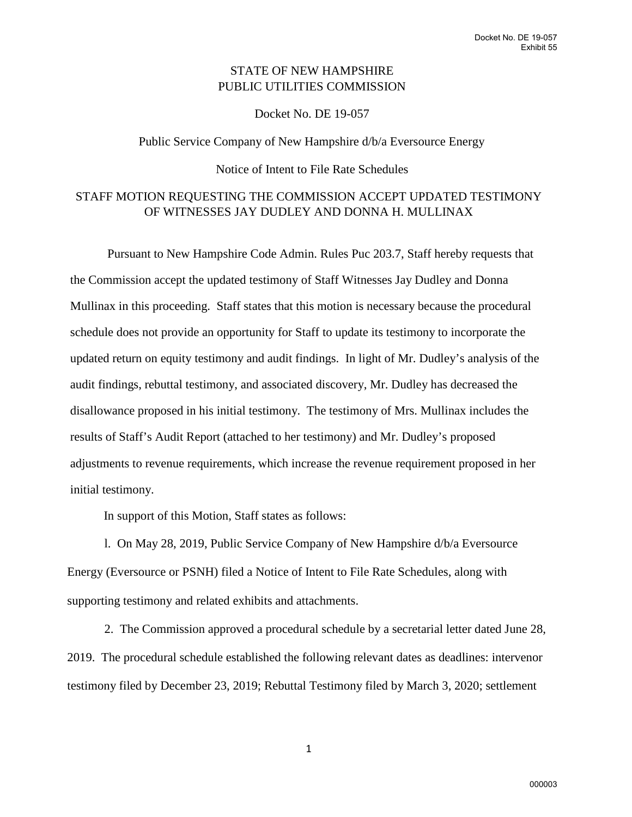## STATE OF NEW HAMPSHIRE PUBLIC UTILITIES COMMISSION

Docket No. DE 19-057

Public Service Company of New Hampshire d/b/a Eversource Energy

# Notice of Intent to File Rate Schedules

## STAFF MOTION REQUESTING THE COMMISSION ACCEPT UPDATED TESTIMONY OF WITNESSES JAY DUDLEY AND DONNA H. MULLINAX

Pursuant to New Hampshire Code Admin. Rules Puc 203.7, Staff hereby requests that the Commission accept the updated testimony of Staff Witnesses Jay Dudley and Donna Mullinax in this proceeding. Staff states that this motion is necessary because the procedural schedule does not provide an opportunity for Staff to update its testimony to incorporate the updated return on equity testimony and audit findings. In light of Mr. Dudley's analysis of the audit findings, rebuttal testimony, and associated discovery, Mr. Dudley has decreased the disallowance proposed in his initial testimony. The testimony of Mrs. Mullinax includes the results of Staff's Audit Report (attached to her testimony) and Mr. Dudley's proposed adjustments to revenue requirements, which increase the revenue requirement proposed in her initial testimony.

In support of this Motion, Staff states as follows:

l. On May 28, 2019, Public Service Company of New Hampshire d/b/a Eversource Energy (Eversource or PSNH) filed a Notice of Intent to File Rate Schedules, along with supporting testimony and related exhibits and attachments.

2. The Commission approved a procedural schedule by a secretarial letter dated June 28, 2019. The procedural schedule established the following relevant dates as deadlines: intervenor testimony filed by December 23, 2019; Rebuttal Testimony filed by March 3, 2020; settlement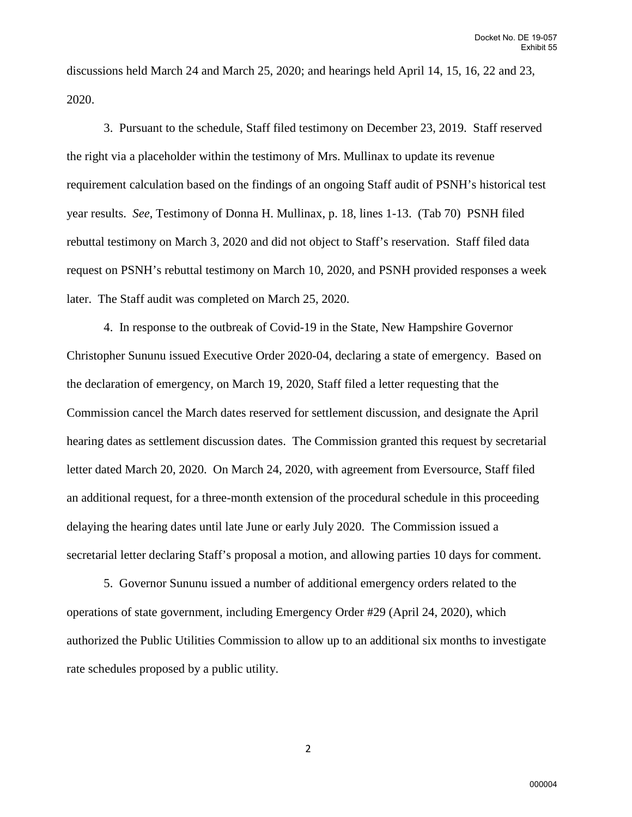discussions held March 24 and March 25, 2020; and hearings held April 14, 15, 16, 22 and 23, 2020.

3. Pursuant to the schedule, Staff filed testimony on December 23, 2019. Staff reserved the right via a placeholder within the testimony of Mrs. Mullinax to update its revenue requirement calculation based on the findings of an ongoing Staff audit of PSNH's historical test year results. *See*, Testimony of Donna H. Mullinax, p. 18, lines 1-13. (Tab 70) PSNH filed rebuttal testimony on March 3, 2020 and did not object to Staff's reservation. Staff filed data request on PSNH's rebuttal testimony on March 10, 2020, and PSNH provided responses a week later. The Staff audit was completed on March 25, 2020.

4. In response to the outbreak of Covid-19 in the State, New Hampshire Governor Christopher Sununu issued Executive Order 2020-04, declaring a state of emergency. Based on the declaration of emergency, on March 19, 2020, Staff filed a letter requesting that the Commission cancel the March dates reserved for settlement discussion, and designate the April hearing dates as settlement discussion dates. The Commission granted this request by secretarial letter dated March 20, 2020. On March 24, 2020, with agreement from Eversource, Staff filed an additional request, for a three-month extension of the procedural schedule in this proceeding delaying the hearing dates until late June or early July 2020. The Commission issued a secretarial letter declaring Staff's proposal a motion, and allowing parties 10 days for comment.

5. Governor Sununu issued a number of additional emergency orders related to the operations of state government, including Emergency Order #29 (April 24, 2020), which authorized the Public Utilities Commission to allow up to an additional six months to investigate rate schedules proposed by a public utility.

2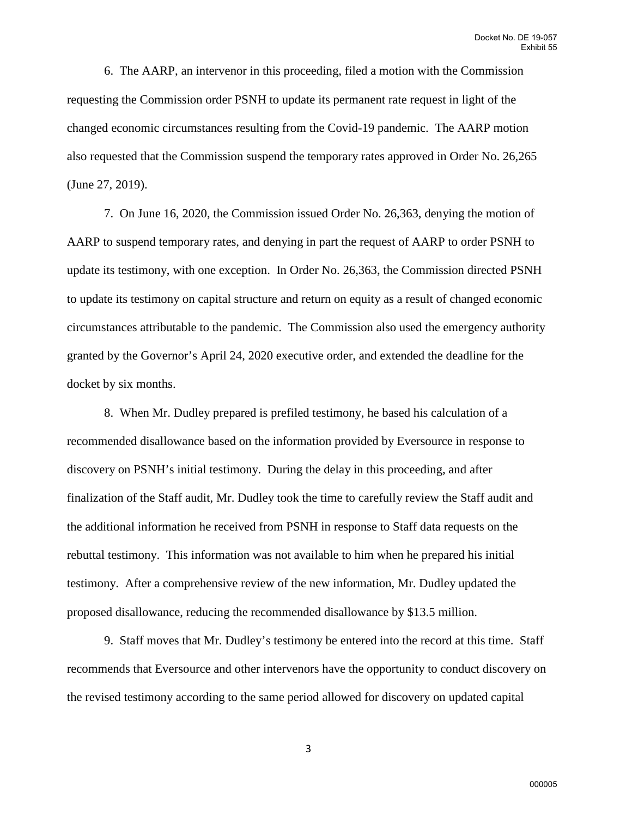6. The AARP, an intervenor in this proceeding, filed a motion with the Commission requesting the Commission order PSNH to update its permanent rate request in light of the changed economic circumstances resulting from the Covid-19 pandemic. The AARP motion also requested that the Commission suspend the temporary rates approved in Order No. 26,265 (June 27, 2019).

7. On June 16, 2020, the Commission issued Order No. 26,363, denying the motion of AARP to suspend temporary rates, and denying in part the request of AARP to order PSNH to update its testimony, with one exception. In Order No. 26,363, the Commission directed PSNH to update its testimony on capital structure and return on equity as a result of changed economic circumstances attributable to the pandemic. The Commission also used the emergency authority granted by the Governor's April 24, 2020 executive order, and extended the deadline for the docket by six months.

8. When Mr. Dudley prepared is prefiled testimony, he based his calculation of a recommended disallowance based on the information provided by Eversource in response to discovery on PSNH's initial testimony. During the delay in this proceeding, and after finalization of the Staff audit, Mr. Dudley took the time to carefully review the Staff audit and the additional information he received from PSNH in response to Staff data requests on the rebuttal testimony. This information was not available to him when he prepared his initial testimony. After a comprehensive review of the new information, Mr. Dudley updated the proposed disallowance, reducing the recommended disallowance by \$13.5 million.

9. Staff moves that Mr. Dudley's testimony be entered into the record at this time. Staff recommends that Eversource and other intervenors have the opportunity to conduct discovery on the revised testimony according to the same period allowed for discovery on updated capital

3